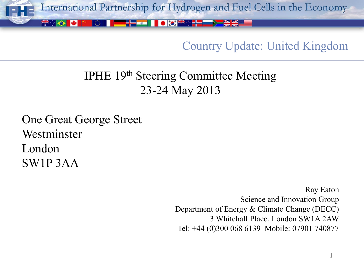

### Country Update: United Kingdom

# IPHE 19th Steering Committee Meeting 23-24 May 2013

One Great George Street Westminster London SW1P 3AA

> Ray Eaton Science and Innovation Group Department of Energy & Climate Change (DECC) 3 Whitehall Place, London SW1A 2AW Tel: +44 (0)300 068 6139 Mobile: 07901 740877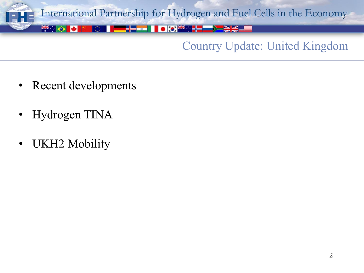

### Country Update: United Kingdom

- Recent developments
- Hydrogen TINA
- UKH2 Mobility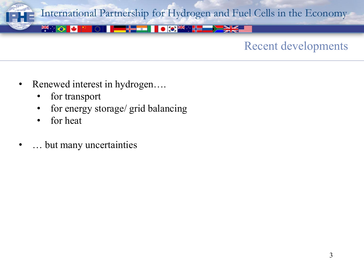

### Recent developments

- Renewed interest in hydrogen….
	- for transport
	- for energy storage/ grid balancing
	- for heat
- … but many uncertainties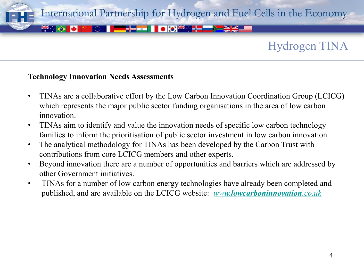

## Hydrogen TINA

#### **Technology Innovation Needs Assessments**

- TINAs are a collaborative effort by the Low Carbon Innovation Coordination Group (LCICG) which represents the major public sector funding organisations in the area of low carbon innovation.
- TINAs aim to identify and value the innovation needs of specific low carbon technology families to inform the prioritisation of public sector investment in low carbon innovation.
- The analytical methodology for TINAs has been developed by the Carbon Trust with contributions from core LCICG members and other experts.
- Beyond innovation there are a number of opportunities and barriers which are addressed by other Government initiatives.
- TINAs for a number of low carbon energy technologies have already been completed and published, and are available on the LCICG website: *[www.](http://www.lowcarboninnovation.co.uk/)[lowcarboninnovation](http://www.lowcarboninnovation.co.uk/)[.co.uk](http://www.lowcarboninnovation.co.uk/)*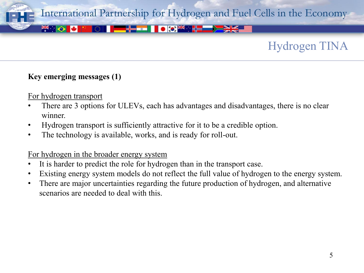

## Hydrogen TINA

#### **Key emerging messages (1)**

For hydrogen transport

- There are 3 options for ULEVs, each has advantages and disadvantages, there is no clear winner.
- Hydrogen transport is sufficiently attractive for it to be a credible option.
- The technology is available, works, and is ready for roll-out.

#### For hydrogen in the broader energy system

- It is harder to predict the role for hydrogen than in the transport case.
- Existing energy system models do not reflect the full value of hydrogen to the energy system.
- There are major uncertainties regarding the future production of hydrogen, and alternative scenarios are needed to deal with this.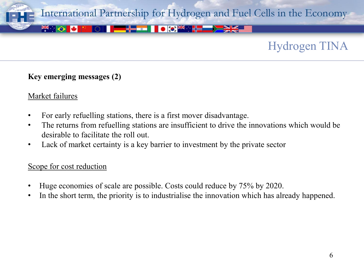

## Hydrogen TINA

#### **Key emerging messages (2)**

#### Market failures

- For early refuelling stations, there is a first mover disadvantage.
- The returns from refuelling stations are insufficient to drive the innovations which would be desirable to facilitate the roll out.
- Lack of market certainty is a key barrier to investment by the private sector

#### Scope for cost reduction

- Huge economies of scale are possible. Costs could reduce by 75% by 2020.
- In the short term, the priority is to industrialise the innovation which has already happened.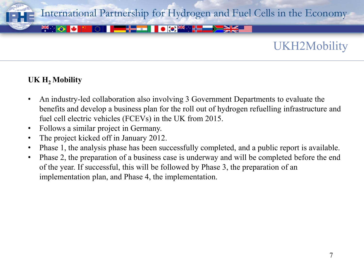

### UKH2Mobility

#### **UK H2 Mobility**

- An industry-led collaboration also involving 3 Government Departments to evaluate the benefits and develop a business plan for the roll out of hydrogen refuelling infrastructure and fuel cell electric vehicles (FCEVs) in the UK from 2015.
- Follows a similar project in Germany.
- The project kicked off in January 2012.
- Phase 1, the analysis phase has been successfully completed, and a public report is available.
- Phase 2, the preparation of a business case is underway and will be completed before the end of the year. If successful, this will be followed by Phase 3, the preparation of an implementation plan, and Phase 4, the implementation.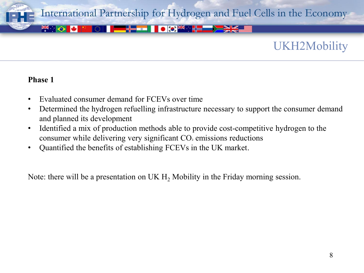

### UKH2Mobility

#### **Phase 1**

- Evaluated consumer demand for FCEVs over time
- Determined the hydrogen refuelling infrastructure necessary to support the consumer demand and planned its development
- Identified a mix of production methods able to provide cost-competitive hydrogen to the consumer while delivering very significant CO<sub>2</sub> emissions reductions
- Quantified the benefits of establishing FCEVs in the UK market.

Note: there will be a presentation on UK  $H<sub>2</sub>$  Mobility in the Friday morning session.